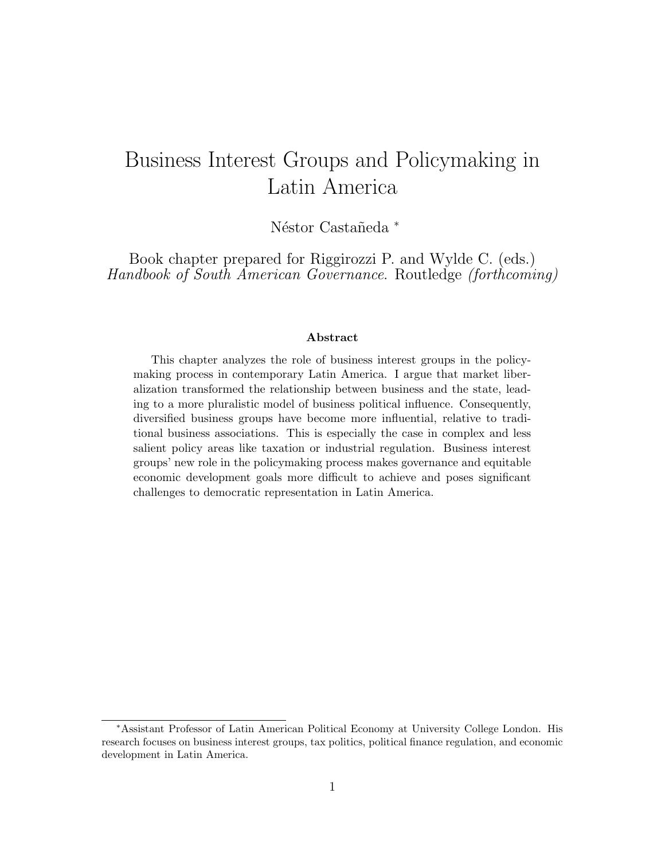# Business Interest Groups and Policymaking in Latin America

Néstor Castañeda \*

Book chapter prepared for Riggirozzi P. and Wylde C. (eds.) Handbook of South American Governance. Routledge (forthcoming)

#### Abstract

This chapter analyzes the role of business interest groups in the policymaking process in contemporary Latin America. I argue that market liberalization transformed the relationship between business and the state, leading to a more pluralistic model of business political influence. Consequently, diversified business groups have become more influential, relative to traditional business associations. This is especially the case in complex and less salient policy areas like taxation or industrial regulation. Business interest groups' new role in the policymaking process makes governance and equitable economic development goals more difficult to achieve and poses significant challenges to democratic representation in Latin America.

<sup>∗</sup>Assistant Professor of Latin American Political Economy at University College London. His research focuses on business interest groups, tax politics, political finance regulation, and economic development in Latin America.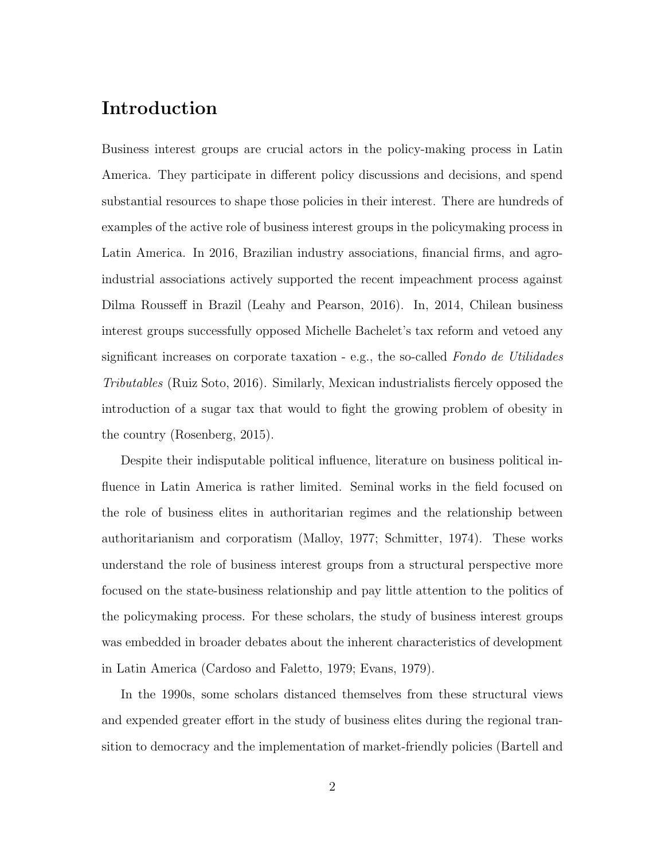## Introduction

Business interest groups are crucial actors in the policy-making process in Latin America. They participate in different policy discussions and decisions, and spend substantial resources to shape those policies in their interest. There are hundreds of examples of the active role of business interest groups in the policymaking process in Latin America. In 2016, Brazilian industry associations, financial firms, and agroindustrial associations actively supported the recent impeachment process against Dilma Rousseff in Brazil (Leahy and Pearson, 2016). In, 2014, Chilean business interest groups successfully opposed Michelle Bachelet's tax reform and vetoed any significant increases on corporate taxation - e.g., the so-called Fondo de Utilidades Tributables (Ruiz Soto, 2016). Similarly, Mexican industrialists fiercely opposed the introduction of a sugar tax that would to fight the growing problem of obesity in the country (Rosenberg, 2015).

Despite their indisputable political influence, literature on business political influence in Latin America is rather limited. Seminal works in the field focused on the role of business elites in authoritarian regimes and the relationship between authoritarianism and corporatism (Malloy, 1977; Schmitter, 1974). These works understand the role of business interest groups from a structural perspective more focused on the state-business relationship and pay little attention to the politics of the policymaking process. For these scholars, the study of business interest groups was embedded in broader debates about the inherent characteristics of development in Latin America (Cardoso and Faletto, 1979; Evans, 1979).

In the 1990s, some scholars distanced themselves from these structural views and expended greater effort in the study of business elites during the regional transition to democracy and the implementation of market-friendly policies (Bartell and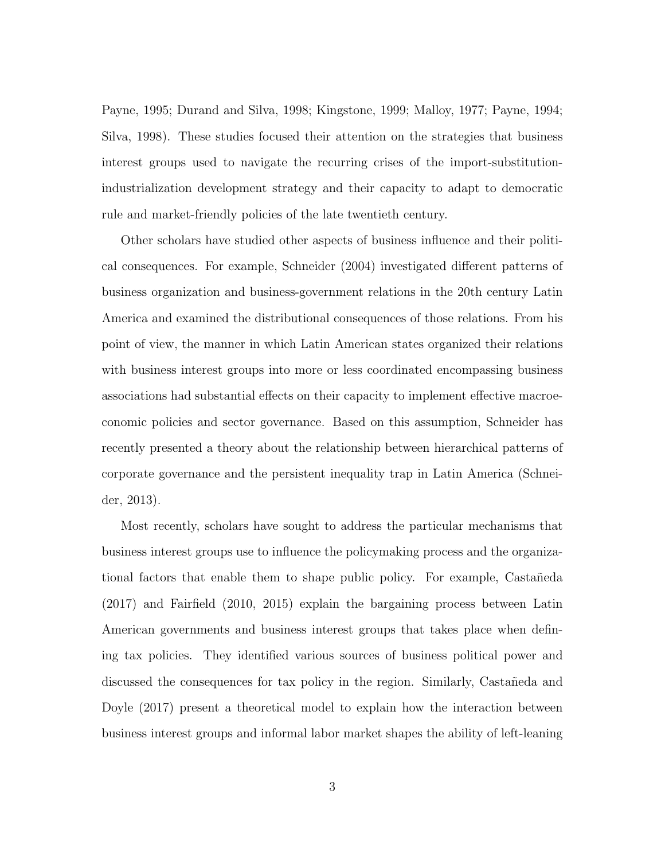Payne, 1995; Durand and Silva, 1998; Kingstone, 1999; Malloy, 1977; Payne, 1994; Silva, 1998). These studies focused their attention on the strategies that business interest groups used to navigate the recurring crises of the import-substitutionindustrialization development strategy and their capacity to adapt to democratic rule and market-friendly policies of the late twentieth century.

Other scholars have studied other aspects of business influence and their political consequences. For example, Schneider (2004) investigated different patterns of business organization and business-government relations in the 20th century Latin America and examined the distributional consequences of those relations. From his point of view, the manner in which Latin American states organized their relations with business interest groups into more or less coordinated encompassing business associations had substantial effects on their capacity to implement effective macroeconomic policies and sector governance. Based on this assumption, Schneider has recently presented a theory about the relationship between hierarchical patterns of corporate governance and the persistent inequality trap in Latin America (Schneider, 2013).

Most recently, scholars have sought to address the particular mechanisms that business interest groups use to influence the policymaking process and the organizational factors that enable them to shape public policy. For example, Castañeda (2017) and Fairfield (2010, 2015) explain the bargaining process between Latin American governments and business interest groups that takes place when defining tax policies. They identified various sources of business political power and discussed the consequences for tax policy in the region. Similarly, Castañeda and Doyle (2017) present a theoretical model to explain how the interaction between business interest groups and informal labor market shapes the ability of left-leaning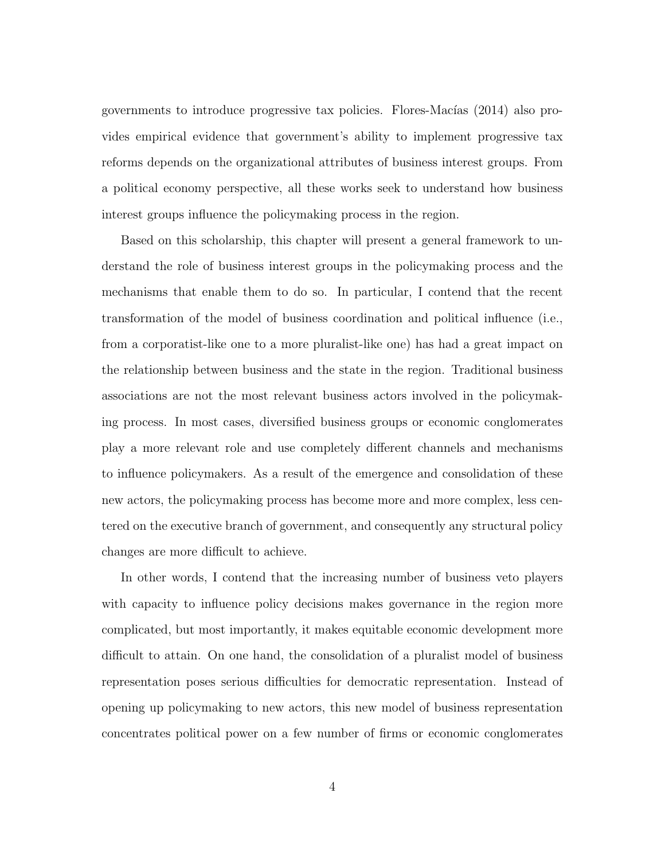governments to introduce progressive tax policies. Flores-Macías (2014) also provides empirical evidence that government's ability to implement progressive tax reforms depends on the organizational attributes of business interest groups. From a political economy perspective, all these works seek to understand how business interest groups influence the policymaking process in the region.

Based on this scholarship, this chapter will present a general framework to understand the role of business interest groups in the policymaking process and the mechanisms that enable them to do so. In particular, I contend that the recent transformation of the model of business coordination and political influence (i.e., from a corporatist-like one to a more pluralist-like one) has had a great impact on the relationship between business and the state in the region. Traditional business associations are not the most relevant business actors involved in the policymaking process. In most cases, diversified business groups or economic conglomerates play a more relevant role and use completely different channels and mechanisms to influence policymakers. As a result of the emergence and consolidation of these new actors, the policymaking process has become more and more complex, less centered on the executive branch of government, and consequently any structural policy changes are more difficult to achieve.

In other words, I contend that the increasing number of business veto players with capacity to influence policy decisions makes governance in the region more complicated, but most importantly, it makes equitable economic development more difficult to attain. On one hand, the consolidation of a pluralist model of business representation poses serious difficulties for democratic representation. Instead of opening up policymaking to new actors, this new model of business representation concentrates political power on a few number of firms or economic conglomerates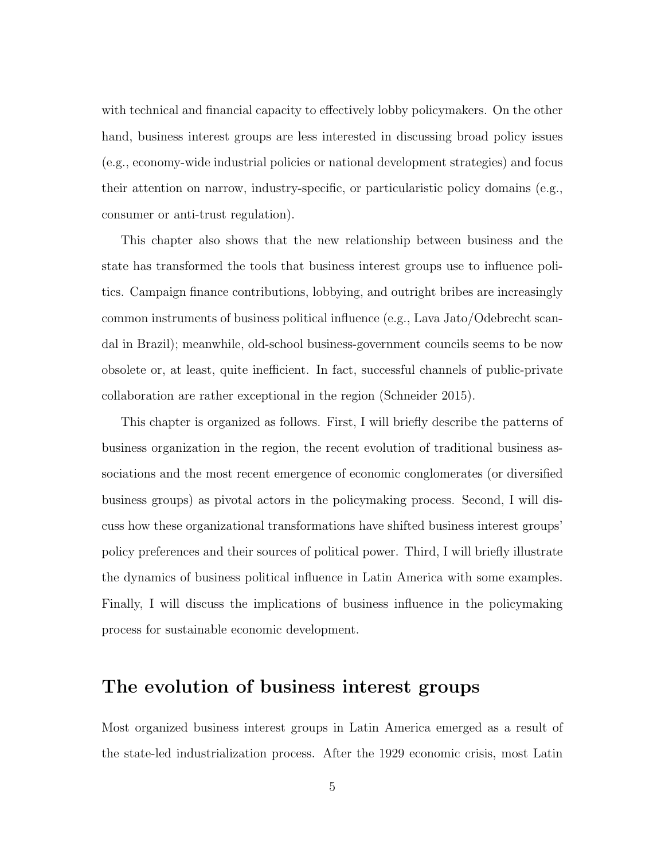with technical and financial capacity to effectively lobby policymakers. On the other hand, business interest groups are less interested in discussing broad policy issues (e.g., economy-wide industrial policies or national development strategies) and focus their attention on narrow, industry-specific, or particularistic policy domains (e.g., consumer or anti-trust regulation).

This chapter also shows that the new relationship between business and the state has transformed the tools that business interest groups use to influence politics. Campaign finance contributions, lobbying, and outright bribes are increasingly common instruments of business political influence (e.g., Lava Jato/Odebrecht scandal in Brazil); meanwhile, old-school business-government councils seems to be now obsolete or, at least, quite inefficient. In fact, successful channels of public-private collaboration are rather exceptional in the region (Schneider 2015).

This chapter is organized as follows. First, I will briefly describe the patterns of business organization in the region, the recent evolution of traditional business associations and the most recent emergence of economic conglomerates (or diversified business groups) as pivotal actors in the policymaking process. Second, I will discuss how these organizational transformations have shifted business interest groups' policy preferences and their sources of political power. Third, I will briefly illustrate the dynamics of business political influence in Latin America with some examples. Finally, I will discuss the implications of business influence in the policymaking process for sustainable economic development.

#### The evolution of business interest groups

Most organized business interest groups in Latin America emerged as a result of the state-led industrialization process. After the 1929 economic crisis, most Latin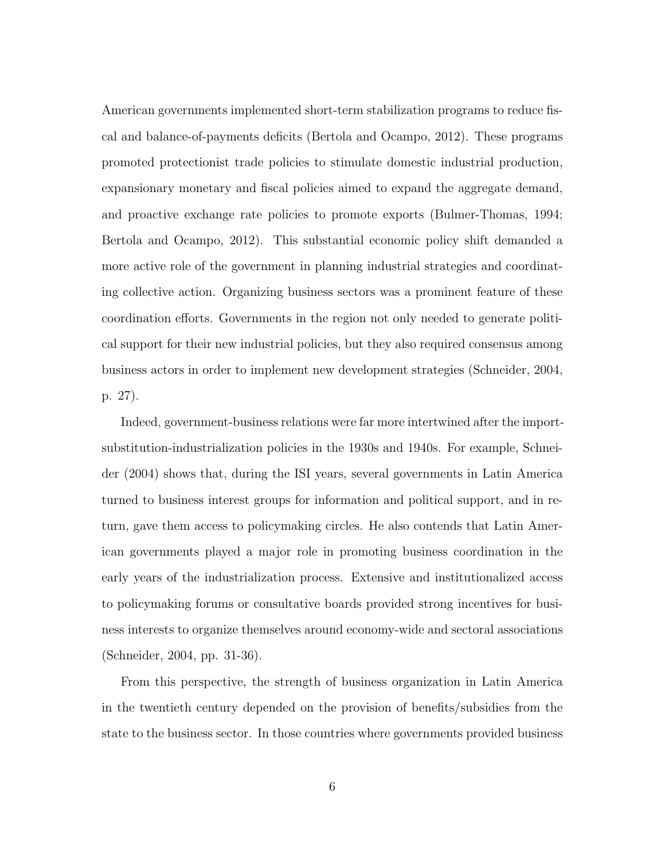American governments implemented short-term stabilization programs to reduce fiscal and balance-of-payments deficits (Bertola and Ocampo, 2012). These programs promoted protectionist trade policies to stimulate domestic industrial production, expansionary monetary and fiscal policies aimed to expand the aggregate demand, and proactive exchange rate policies to promote exports (Bulmer-Thomas, 1994; Bertola and Ocampo, 2012). This substantial economic policy shift demanded a more active role of the government in planning industrial strategies and coordinating collective action. Organizing business sectors was a prominent feature of these coordination efforts. Governments in the region not only needed to generate political support for their new industrial policies, but they also required consensus among business actors in order to implement new development strategies (Schneider, 2004, p. 27).

Indeed, government-business relations were far more intertwined after the importsubstitution-industrialization policies in the 1930s and 1940s. For example, Schneider (2004) shows that, during the ISI years, several governments in Latin America turned to business interest groups for information and political support, and in return, gave them access to policymaking circles. He also contends that Latin American governments played a major role in promoting business coordination in the early years of the industrialization process. Extensive and institutionalized access to policymaking forums or consultative boards provided strong incentives for business interests to organize themselves around economy-wide and sectoral associations (Schneider, 2004, pp. 31-36).

From this perspective, the strength of business organization in Latin America in the twentieth century depended on the provision of benefits/subsidies from the state to the business sector. In those countries where governments provided business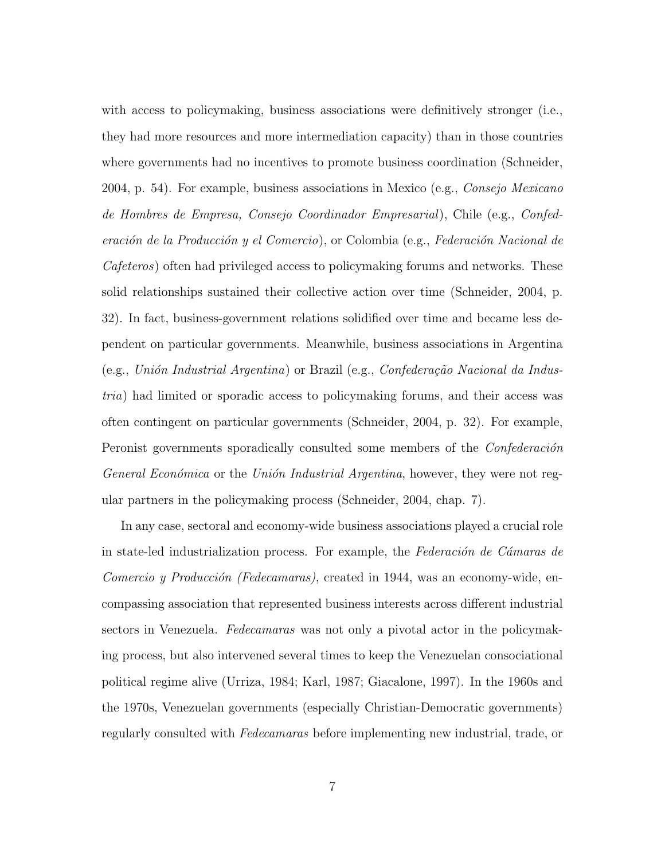with access to policymaking, business associations were definitively stronger (i.e., they had more resources and more intermediation capacity) than in those countries where governments had no incentives to promote business coordination (Schneider, 2004, p. 54). For example, business associations in Mexico (e.g., *Consejo Mexicano* de Hombres de Empresa, Consejo Coordinador Empresarial), Chile (e.g., Confederación de la Producción y el Comercio), or Colombia (e.g., Federación Nacional de Cafeteros) often had privileged access to policymaking forums and networks. These solid relationships sustained their collective action over time (Schneider, 2004, p. 32). In fact, business-government relations solidified over time and became less dependent on particular governments. Meanwhile, business associations in Argentina (e.g., Unión Industrial Argentina) or Brazil (e.g., Confederação Nacional da Industria) had limited or sporadic access to policymaking forums, and their access was often contingent on particular governments (Schneider, 2004, p. 32). For example, Peronist governments sporadically consulted some members of the *Confederación* General Económica or the Unión Industrial Argentina, however, they were not regular partners in the policymaking process (Schneider, 2004, chap. 7).

In any case, sectoral and economy-wide business associations played a crucial role in state-led industrialization process. For example, the Federación de Cámaras de Comercio y Producción (Fedecamaras), created in 1944, was an economy-wide, encompassing association that represented business interests across different industrial sectors in Venezuela. *Fedecamaras* was not only a pivotal actor in the policymaking process, but also intervened several times to keep the Venezuelan consociational political regime alive (Urriza, 1984; Karl, 1987; Giacalone, 1997). In the 1960s and the 1970s, Venezuelan governments (especially Christian-Democratic governments) regularly consulted with Fedecamaras before implementing new industrial, trade, or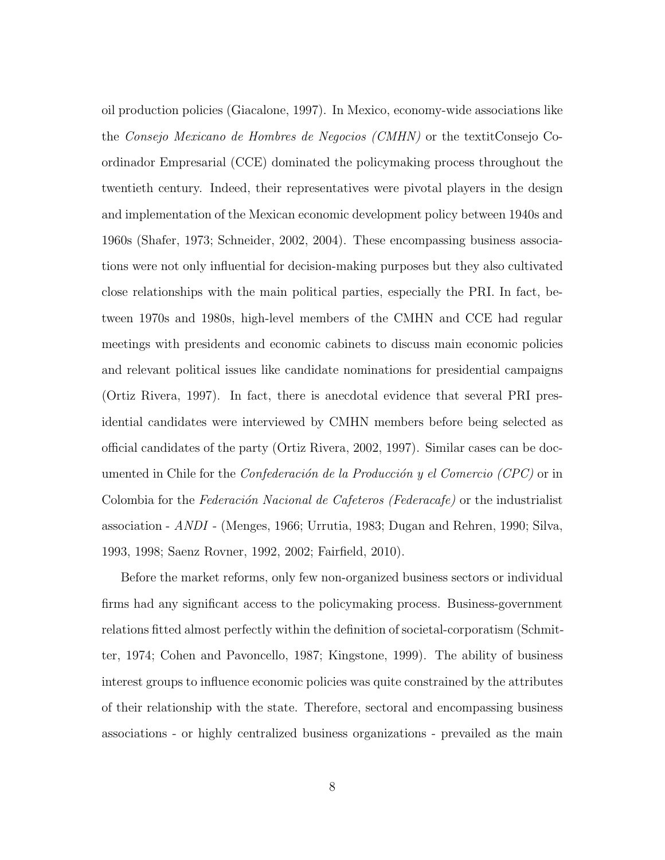oil production policies (Giacalone, 1997). In Mexico, economy-wide associations like the Consejo Mexicano de Hombres de Negocios (CMHN) or the textitConsejo Coordinador Empresarial (CCE) dominated the policymaking process throughout the twentieth century. Indeed, their representatives were pivotal players in the design and implementation of the Mexican economic development policy between 1940s and 1960s (Shafer, 1973; Schneider, 2002, 2004). These encompassing business associations were not only influential for decision-making purposes but they also cultivated close relationships with the main political parties, especially the PRI. In fact, between 1970s and 1980s, high-level members of the CMHN and CCE had regular meetings with presidents and economic cabinets to discuss main economic policies and relevant political issues like candidate nominations for presidential campaigns (Ortiz Rivera, 1997). In fact, there is anecdotal evidence that several PRI presidential candidates were interviewed by CMHN members before being selected as official candidates of the party (Ortiz Rivera, 2002, 1997). Similar cases can be documented in Chile for the *Confederación de la Producción y el Comercio (CPC)* or in Colombia for the Federación Nacional de Cafeteros (Federacafe) or the industrialist association - ANDI - (Menges, 1966; Urrutia, 1983; Dugan and Rehren, 1990; Silva, 1993, 1998; Saenz Rovner, 1992, 2002; Fairfield, 2010).

Before the market reforms, only few non-organized business sectors or individual firms had any significant access to the policymaking process. Business-government relations fitted almost perfectly within the definition of societal-corporatism (Schmitter, 1974; Cohen and Pavoncello, 1987; Kingstone, 1999). The ability of business interest groups to influence economic policies was quite constrained by the attributes of their relationship with the state. Therefore, sectoral and encompassing business associations - or highly centralized business organizations - prevailed as the main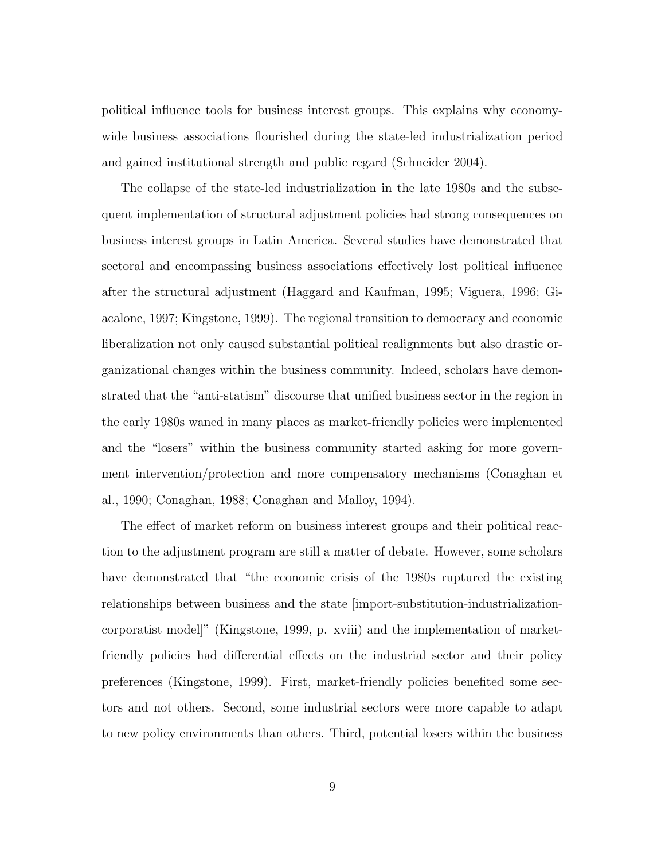political influence tools for business interest groups. This explains why economywide business associations flourished during the state-led industrialization period and gained institutional strength and public regard (Schneider 2004).

The collapse of the state-led industrialization in the late 1980s and the subsequent implementation of structural adjustment policies had strong consequences on business interest groups in Latin America. Several studies have demonstrated that sectoral and encompassing business associations effectively lost political influence after the structural adjustment (Haggard and Kaufman, 1995; Viguera, 1996; Giacalone, 1997; Kingstone, 1999). The regional transition to democracy and economic liberalization not only caused substantial political realignments but also drastic organizational changes within the business community. Indeed, scholars have demonstrated that the "anti-statism" discourse that unified business sector in the region in the early 1980s waned in many places as market-friendly policies were implemented and the "losers" within the business community started asking for more government intervention/protection and more compensatory mechanisms (Conaghan et al., 1990; Conaghan, 1988; Conaghan and Malloy, 1994).

The effect of market reform on business interest groups and their political reaction to the adjustment program are still a matter of debate. However, some scholars have demonstrated that "the economic crisis of the 1980s ruptured the existing relationships between business and the state [import-substitution-industrializationcorporatist model]" (Kingstone, 1999, p. xviii) and the implementation of marketfriendly policies had differential effects on the industrial sector and their policy preferences (Kingstone, 1999). First, market-friendly policies benefited some sectors and not others. Second, some industrial sectors were more capable to adapt to new policy environments than others. Third, potential losers within the business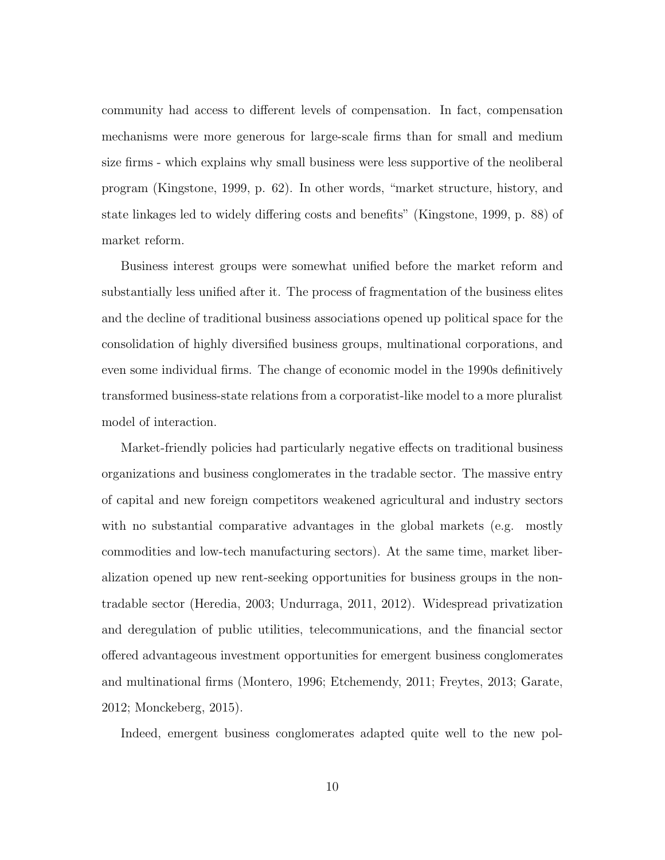community had access to different levels of compensation. In fact, compensation mechanisms were more generous for large-scale firms than for small and medium size firms - which explains why small business were less supportive of the neoliberal program (Kingstone, 1999, p. 62). In other words, "market structure, history, and state linkages led to widely differing costs and benefits" (Kingstone, 1999, p. 88) of market reform.

Business interest groups were somewhat unified before the market reform and substantially less unified after it. The process of fragmentation of the business elites and the decline of traditional business associations opened up political space for the consolidation of highly diversified business groups, multinational corporations, and even some individual firms. The change of economic model in the 1990s definitively transformed business-state relations from a corporatist-like model to a more pluralist model of interaction.

Market-friendly policies had particularly negative effects on traditional business organizations and business conglomerates in the tradable sector. The massive entry of capital and new foreign competitors weakened agricultural and industry sectors with no substantial comparative advantages in the global markets (e.g. mostly commodities and low-tech manufacturing sectors). At the same time, market liberalization opened up new rent-seeking opportunities for business groups in the nontradable sector (Heredia, 2003; Undurraga, 2011, 2012). Widespread privatization and deregulation of public utilities, telecommunications, and the financial sector offered advantageous investment opportunities for emergent business conglomerates and multinational firms (Montero, 1996; Etchemendy, 2011; Freytes, 2013; Garate, 2012; Monckeberg, 2015).

Indeed, emergent business conglomerates adapted quite well to the new pol-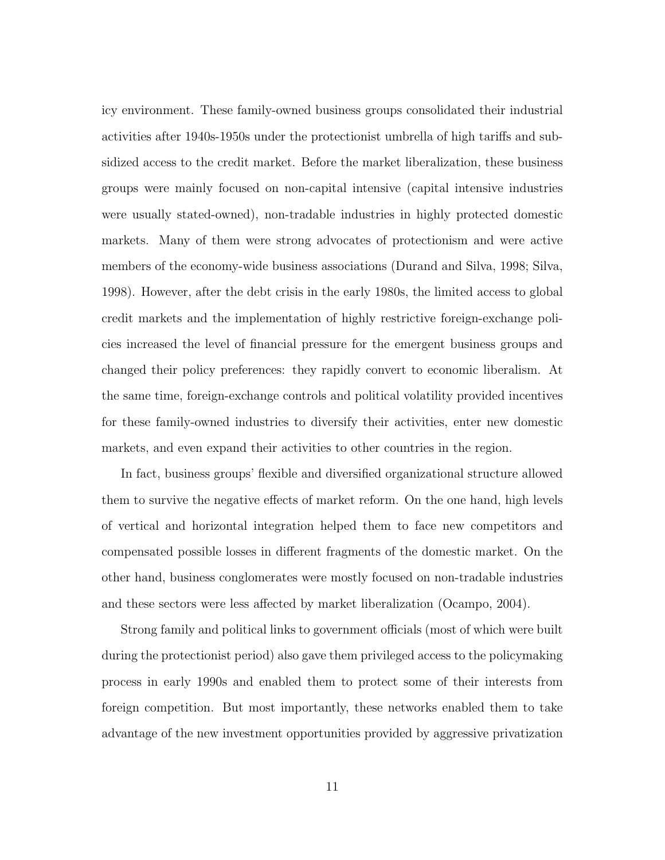icy environment. These family-owned business groups consolidated their industrial activities after 1940s-1950s under the protectionist umbrella of high tariffs and subsidized access to the credit market. Before the market liberalization, these business groups were mainly focused on non-capital intensive (capital intensive industries were usually stated-owned), non-tradable industries in highly protected domestic markets. Many of them were strong advocates of protectionism and were active members of the economy-wide business associations (Durand and Silva, 1998; Silva, 1998). However, after the debt crisis in the early 1980s, the limited access to global credit markets and the implementation of highly restrictive foreign-exchange policies increased the level of financial pressure for the emergent business groups and changed their policy preferences: they rapidly convert to economic liberalism. At the same time, foreign-exchange controls and political volatility provided incentives for these family-owned industries to diversify their activities, enter new domestic markets, and even expand their activities to other countries in the region.

In fact, business groups' flexible and diversified organizational structure allowed them to survive the negative effects of market reform. On the one hand, high levels of vertical and horizontal integration helped them to face new competitors and compensated possible losses in different fragments of the domestic market. On the other hand, business conglomerates were mostly focused on non-tradable industries and these sectors were less affected by market liberalization (Ocampo, 2004).

Strong family and political links to government officials (most of which were built during the protectionist period) also gave them privileged access to the policymaking process in early 1990s and enabled them to protect some of their interests from foreign competition. But most importantly, these networks enabled them to take advantage of the new investment opportunities provided by aggressive privatization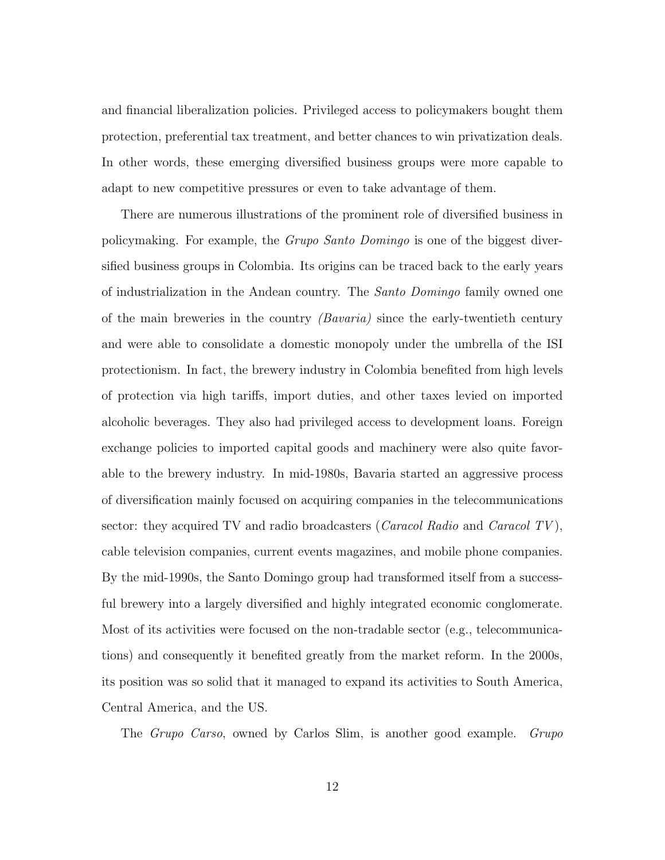and financial liberalization policies. Privileged access to policymakers bought them protection, preferential tax treatment, and better chances to win privatization deals. In other words, these emerging diversified business groups were more capable to adapt to new competitive pressures or even to take advantage of them.

There are numerous illustrations of the prominent role of diversified business in policymaking. For example, the Grupo Santo Domingo is one of the biggest diversified business groups in Colombia. Its origins can be traced back to the early years of industrialization in the Andean country. The Santo Domingo family owned one of the main breweries in the country  $(Bavaria)$  since the early-twentieth century and were able to consolidate a domestic monopoly under the umbrella of the ISI protectionism. In fact, the brewery industry in Colombia benefited from high levels of protection via high tariffs, import duties, and other taxes levied on imported alcoholic beverages. They also had privileged access to development loans. Foreign exchange policies to imported capital goods and machinery were also quite favorable to the brewery industry. In mid-1980s, Bavaria started an aggressive process of diversification mainly focused on acquiring companies in the telecommunications sector: they acquired TV and radio broadcasters (*Caracol Radio* and *Caracol TV*), cable television companies, current events magazines, and mobile phone companies. By the mid-1990s, the Santo Domingo group had transformed itself from a successful brewery into a largely diversified and highly integrated economic conglomerate. Most of its activities were focused on the non-tradable sector (e.g., telecommunications) and consequently it benefited greatly from the market reform. In the 2000s, its position was so solid that it managed to expand its activities to South America, Central America, and the US.

The Grupo Carso, owned by Carlos Slim, is another good example. Grupo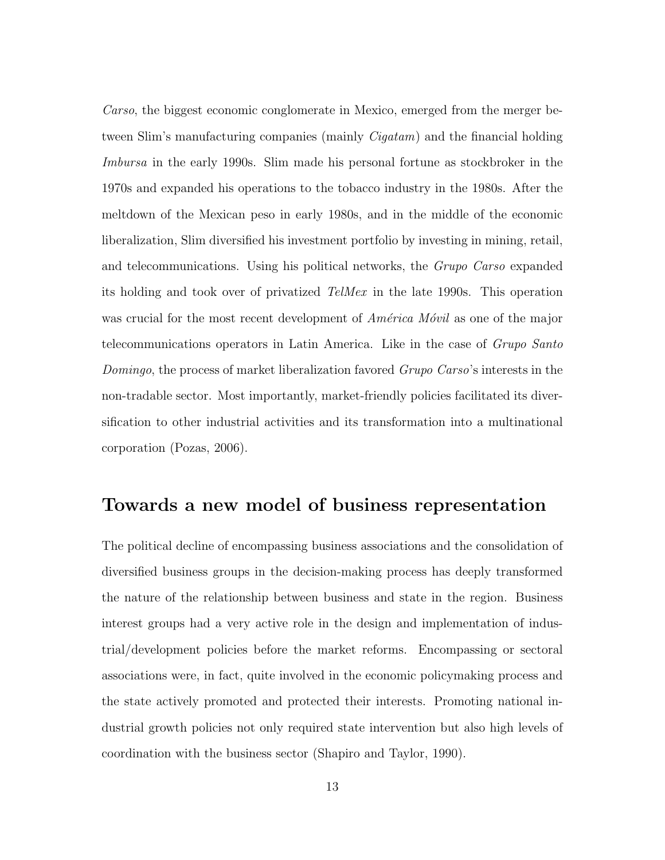Carso, the biggest economic conglomerate in Mexico, emerged from the merger between Slim's manufacturing companies (mainly *Cigatam*) and the financial holding Imbursa in the early 1990s. Slim made his personal fortune as stockbroker in the 1970s and expanded his operations to the tobacco industry in the 1980s. After the meltdown of the Mexican peso in early 1980s, and in the middle of the economic liberalization, Slim diversified his investment portfolio by investing in mining, retail, and telecommunications. Using his political networks, the Grupo Carso expanded its holding and took over of privatized TelMex in the late 1990s. This operation was crucial for the most recent development of  $América Móvil$  as one of the major telecommunications operators in Latin America. Like in the case of Grupo Santo Domingo, the process of market liberalization favored Grupo Carso's interests in the non-tradable sector. Most importantly, market-friendly policies facilitated its diversification to other industrial activities and its transformation into a multinational corporation (Pozas, 2006).

#### Towards a new model of business representation

The political decline of encompassing business associations and the consolidation of diversified business groups in the decision-making process has deeply transformed the nature of the relationship between business and state in the region. Business interest groups had a very active role in the design and implementation of industrial/development policies before the market reforms. Encompassing or sectoral associations were, in fact, quite involved in the economic policymaking process and the state actively promoted and protected their interests. Promoting national industrial growth policies not only required state intervention but also high levels of coordination with the business sector (Shapiro and Taylor, 1990).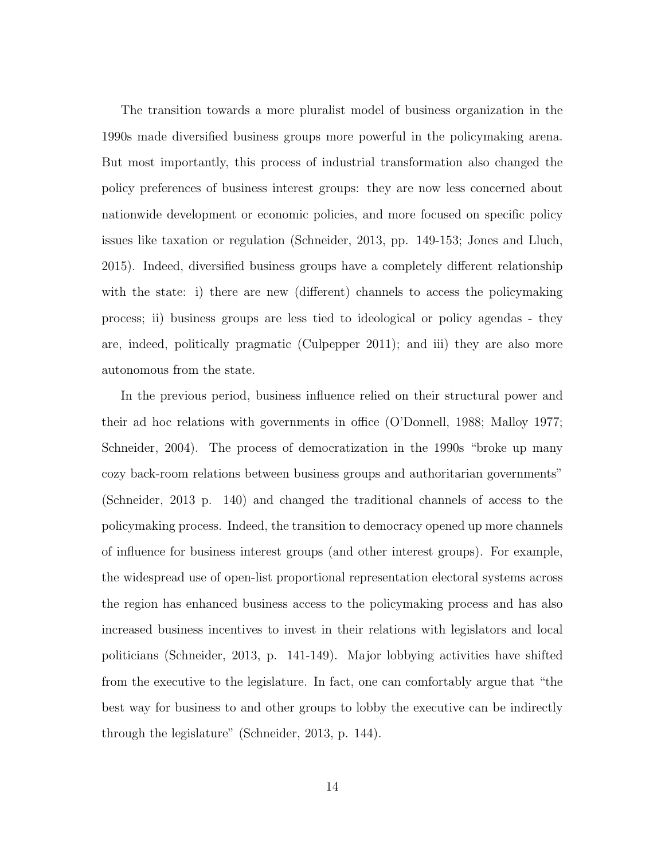The transition towards a more pluralist model of business organization in the 1990s made diversified business groups more powerful in the policymaking arena. But most importantly, this process of industrial transformation also changed the policy preferences of business interest groups: they are now less concerned about nationwide development or economic policies, and more focused on specific policy issues like taxation or regulation (Schneider, 2013, pp. 149-153; Jones and Lluch, 2015). Indeed, diversified business groups have a completely different relationship with the state: i) there are new (different) channels to access the policymaking process; ii) business groups are less tied to ideological or policy agendas - they are, indeed, politically pragmatic (Culpepper 2011); and iii) they are also more autonomous from the state.

In the previous period, business influence relied on their structural power and their ad hoc relations with governments in office (O'Donnell, 1988; Malloy 1977; Schneider, 2004). The process of democratization in the 1990s "broke up many cozy back-room relations between business groups and authoritarian governments" (Schneider, 2013 p. 140) and changed the traditional channels of access to the policymaking process. Indeed, the transition to democracy opened up more channels of influence for business interest groups (and other interest groups). For example, the widespread use of open-list proportional representation electoral systems across the region has enhanced business access to the policymaking process and has also increased business incentives to invest in their relations with legislators and local politicians (Schneider, 2013, p. 141-149). Major lobbying activities have shifted from the executive to the legislature. In fact, one can comfortably argue that "the best way for business to and other groups to lobby the executive can be indirectly through the legislature" (Schneider, 2013, p. 144).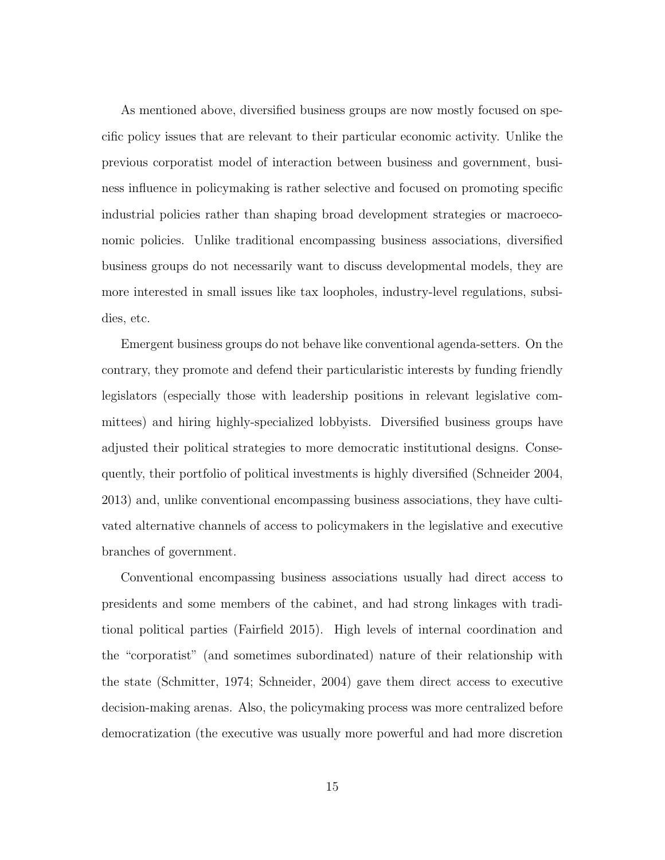As mentioned above, diversified business groups are now mostly focused on specific policy issues that are relevant to their particular economic activity. Unlike the previous corporatist model of interaction between business and government, business influence in policymaking is rather selective and focused on promoting specific industrial policies rather than shaping broad development strategies or macroeconomic policies. Unlike traditional encompassing business associations, diversified business groups do not necessarily want to discuss developmental models, they are more interested in small issues like tax loopholes, industry-level regulations, subsidies, etc.

Emergent business groups do not behave like conventional agenda-setters. On the contrary, they promote and defend their particularistic interests by funding friendly legislators (especially those with leadership positions in relevant legislative committees) and hiring highly-specialized lobbyists. Diversified business groups have adjusted their political strategies to more democratic institutional designs. Consequently, their portfolio of political investments is highly diversified (Schneider 2004, 2013) and, unlike conventional encompassing business associations, they have cultivated alternative channels of access to policymakers in the legislative and executive branches of government.

Conventional encompassing business associations usually had direct access to presidents and some members of the cabinet, and had strong linkages with traditional political parties (Fairfield 2015). High levels of internal coordination and the "corporatist" (and sometimes subordinated) nature of their relationship with the state (Schmitter, 1974; Schneider, 2004) gave them direct access to executive decision-making arenas. Also, the policymaking process was more centralized before democratization (the executive was usually more powerful and had more discretion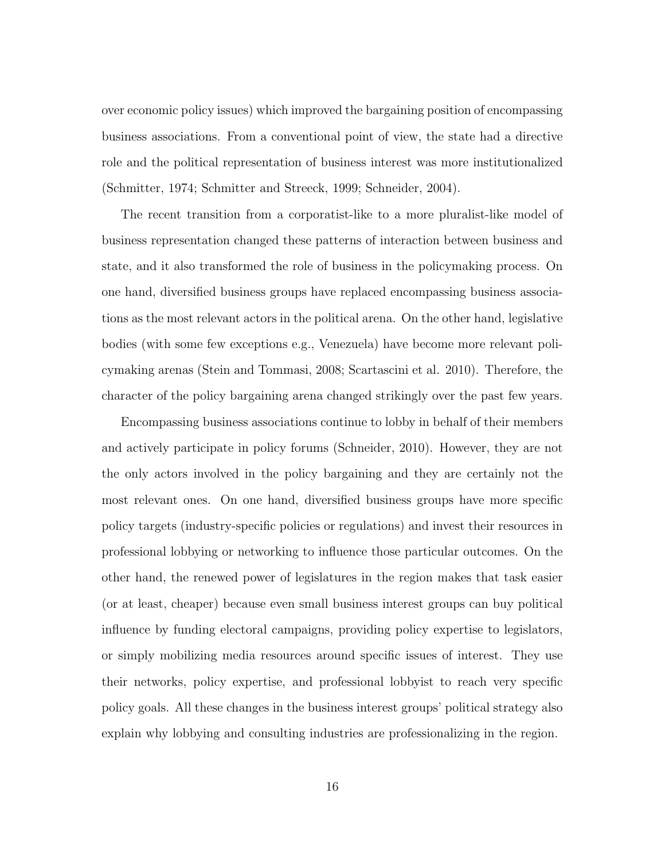over economic policy issues) which improved the bargaining position of encompassing business associations. From a conventional point of view, the state had a directive role and the political representation of business interest was more institutionalized (Schmitter, 1974; Schmitter and Streeck, 1999; Schneider, 2004).

The recent transition from a corporatist-like to a more pluralist-like model of business representation changed these patterns of interaction between business and state, and it also transformed the role of business in the policymaking process. On one hand, diversified business groups have replaced encompassing business associations as the most relevant actors in the political arena. On the other hand, legislative bodies (with some few exceptions e.g., Venezuela) have become more relevant policymaking arenas (Stein and Tommasi, 2008; Scartascini et al. 2010). Therefore, the character of the policy bargaining arena changed strikingly over the past few years.

Encompassing business associations continue to lobby in behalf of their members and actively participate in policy forums (Schneider, 2010). However, they are not the only actors involved in the policy bargaining and they are certainly not the most relevant ones. On one hand, diversified business groups have more specific policy targets (industry-specific policies or regulations) and invest their resources in professional lobbying or networking to influence those particular outcomes. On the other hand, the renewed power of legislatures in the region makes that task easier (or at least, cheaper) because even small business interest groups can buy political influence by funding electoral campaigns, providing policy expertise to legislators, or simply mobilizing media resources around specific issues of interest. They use their networks, policy expertise, and professional lobbyist to reach very specific policy goals. All these changes in the business interest groups' political strategy also explain why lobbying and consulting industries are professionalizing in the region.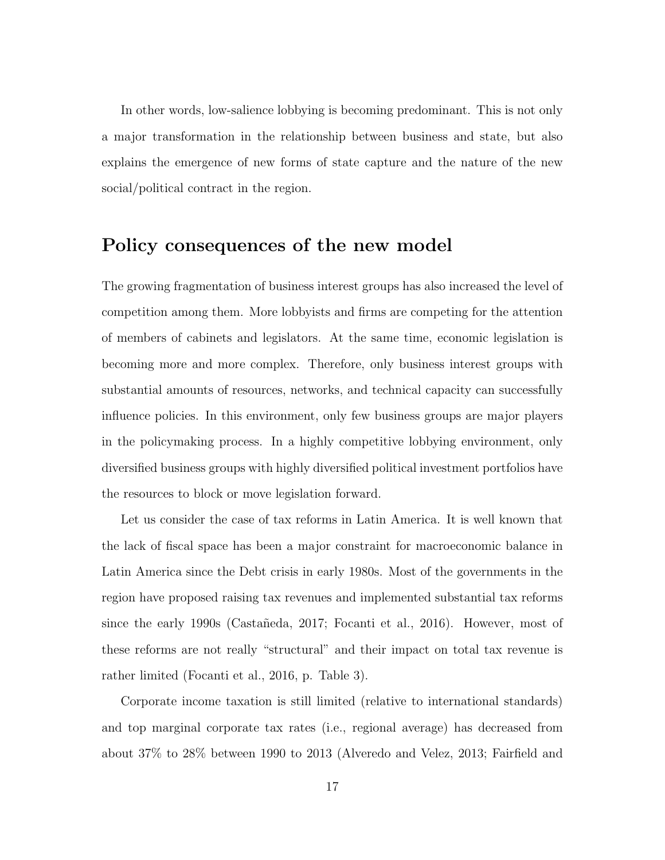In other words, low-salience lobbying is becoming predominant. This is not only a major transformation in the relationship between business and state, but also explains the emergence of new forms of state capture and the nature of the new social/political contract in the region.

#### Policy consequences of the new model

The growing fragmentation of business interest groups has also increased the level of competition among them. More lobbyists and firms are competing for the attention of members of cabinets and legislators. At the same time, economic legislation is becoming more and more complex. Therefore, only business interest groups with substantial amounts of resources, networks, and technical capacity can successfully influence policies. In this environment, only few business groups are major players in the policymaking process. In a highly competitive lobbying environment, only diversified business groups with highly diversified political investment portfolios have the resources to block or move legislation forward.

Let us consider the case of tax reforms in Latin America. It is well known that the lack of fiscal space has been a major constraint for macroeconomic balance in Latin America since the Debt crisis in early 1980s. Most of the governments in the region have proposed raising tax revenues and implemented substantial tax reforms since the early 1990s (Castañeda, 2017; Focanti et al., 2016). However, most of these reforms are not really "structural" and their impact on total tax revenue is rather limited (Focanti et al., 2016, p. Table 3).

Corporate income taxation is still limited (relative to international standards) and top marginal corporate tax rates (i.e., regional average) has decreased from about 37% to 28% between 1990 to 2013 (Alveredo and Velez, 2013; Fairfield and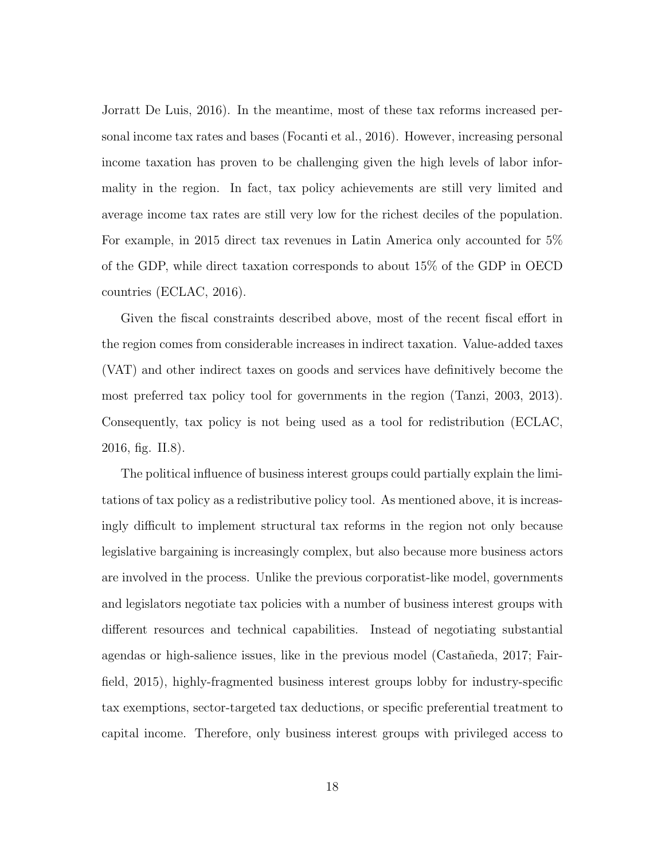Jorratt De Luis, 2016). In the meantime, most of these tax reforms increased personal income tax rates and bases (Focanti et al., 2016). However, increasing personal income taxation has proven to be challenging given the high levels of labor informality in the region. In fact, tax policy achievements are still very limited and average income tax rates are still very low for the richest deciles of the population. For example, in 2015 direct tax revenues in Latin America only accounted for 5% of the GDP, while direct taxation corresponds to about 15% of the GDP in OECD countries (ECLAC, 2016).

Given the fiscal constraints described above, most of the recent fiscal effort in the region comes from considerable increases in indirect taxation. Value-added taxes (VAT) and other indirect taxes on goods and services have definitively become the most preferred tax policy tool for governments in the region (Tanzi, 2003, 2013). Consequently, tax policy is not being used as a tool for redistribution (ECLAC, 2016, fig. II.8).

The political influence of business interest groups could partially explain the limitations of tax policy as a redistributive policy tool. As mentioned above, it is increasingly difficult to implement structural tax reforms in the region not only because legislative bargaining is increasingly complex, but also because more business actors are involved in the process. Unlike the previous corporatist-like model, governments and legislators negotiate tax policies with a number of business interest groups with different resources and technical capabilities. Instead of negotiating substantial agendas or high-salience issues, like in the previous model (Castañeda, 2017; Fairfield, 2015), highly-fragmented business interest groups lobby for industry-specific tax exemptions, sector-targeted tax deductions, or specific preferential treatment to capital income. Therefore, only business interest groups with privileged access to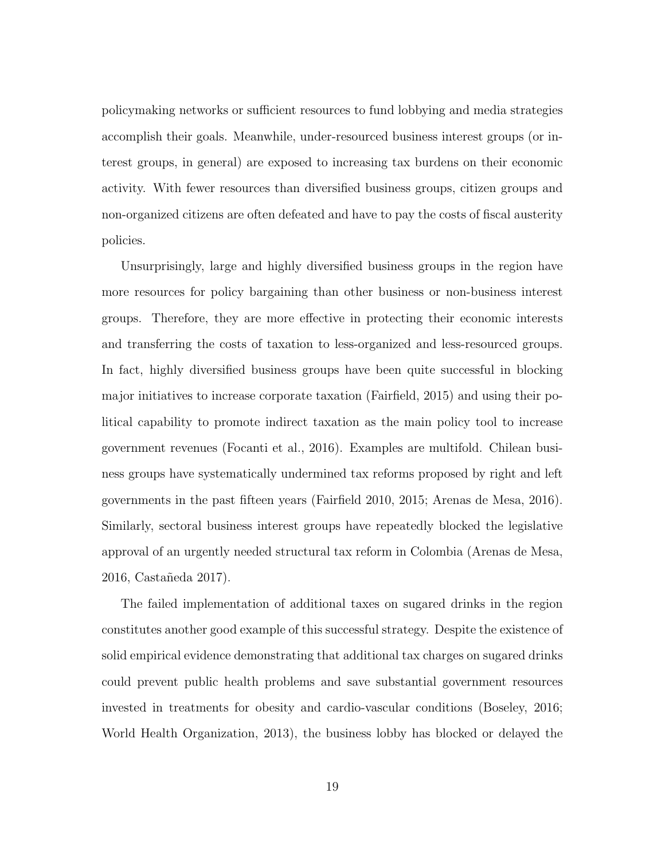policymaking networks or sufficient resources to fund lobbying and media strategies accomplish their goals. Meanwhile, under-resourced business interest groups (or interest groups, in general) are exposed to increasing tax burdens on their economic activity. With fewer resources than diversified business groups, citizen groups and non-organized citizens are often defeated and have to pay the costs of fiscal austerity policies.

Unsurprisingly, large and highly diversified business groups in the region have more resources for policy bargaining than other business or non-business interest groups. Therefore, they are more effective in protecting their economic interests and transferring the costs of taxation to less-organized and less-resourced groups. In fact, highly diversified business groups have been quite successful in blocking major initiatives to increase corporate taxation (Fairfield, 2015) and using their political capability to promote indirect taxation as the main policy tool to increase government revenues (Focanti et al., 2016). Examples are multifold. Chilean business groups have systematically undermined tax reforms proposed by right and left governments in the past fifteen years (Fairfield 2010, 2015; Arenas de Mesa, 2016). Similarly, sectoral business interest groups have repeatedly blocked the legislative approval of an urgently needed structural tax reform in Colombia (Arenas de Mesa, 2016, Castañeda 2017).

The failed implementation of additional taxes on sugared drinks in the region constitutes another good example of this successful strategy. Despite the existence of solid empirical evidence demonstrating that additional tax charges on sugared drinks could prevent public health problems and save substantial government resources invested in treatments for obesity and cardio-vascular conditions (Boseley, 2016; World Health Organization, 2013), the business lobby has blocked or delayed the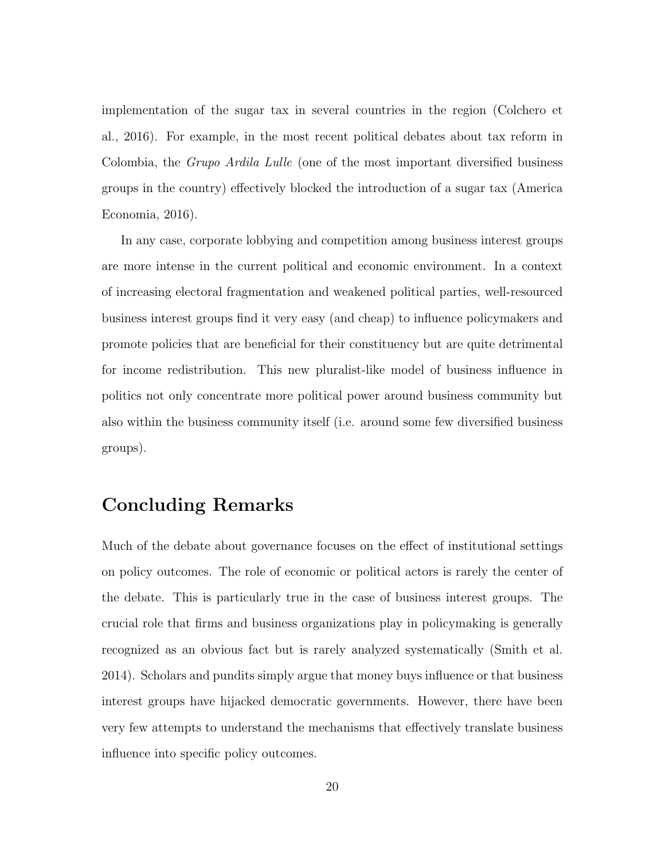implementation of the sugar tax in several countries in the region (Colchero et al., 2016). For example, in the most recent political debates about tax reform in Colombia, the Grupo Ardila Lulle (one of the most important diversified business groups in the country) effectively blocked the introduction of a sugar tax (America Economia, 2016).

In any case, corporate lobbying and competition among business interest groups are more intense in the current political and economic environment. In a context of increasing electoral fragmentation and weakened political parties, well-resourced business interest groups find it very easy (and cheap) to influence policymakers and promote policies that are beneficial for their constituency but are quite detrimental for income redistribution. This new pluralist-like model of business influence in politics not only concentrate more political power around business community but also within the business community itself (i.e. around some few diversified business groups).

### Concluding Remarks

Much of the debate about governance focuses on the effect of institutional settings on policy outcomes. The role of economic or political actors is rarely the center of the debate. This is particularly true in the case of business interest groups. The crucial role that firms and business organizations play in policymaking is generally recognized as an obvious fact but is rarely analyzed systematically (Smith et al. 2014). Scholars and pundits simply argue that money buys influence or that business interest groups have hijacked democratic governments. However, there have been very few attempts to understand the mechanisms that effectively translate business influence into specific policy outcomes.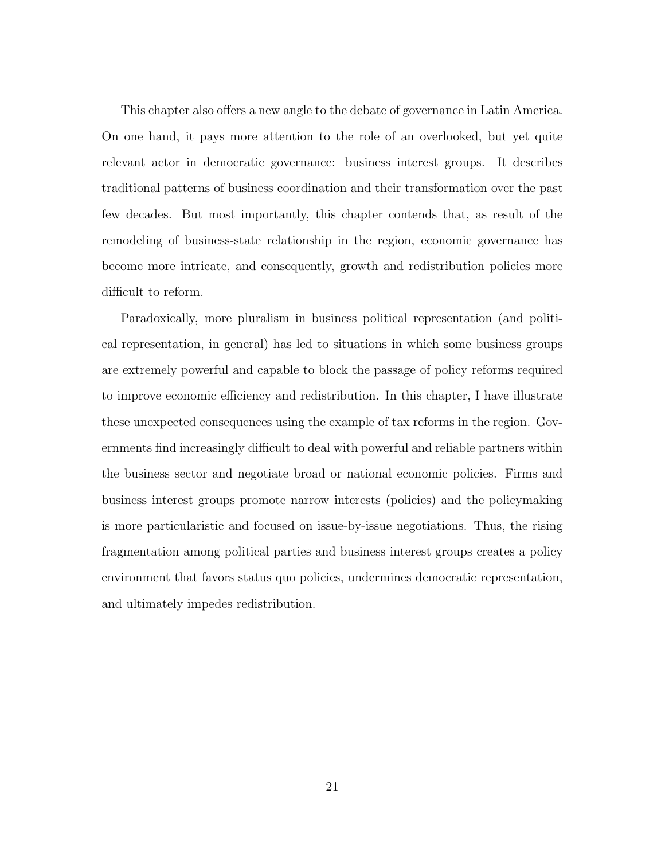This chapter also offers a new angle to the debate of governance in Latin America. On one hand, it pays more attention to the role of an overlooked, but yet quite relevant actor in democratic governance: business interest groups. It describes traditional patterns of business coordination and their transformation over the past few decades. But most importantly, this chapter contends that, as result of the remodeling of business-state relationship in the region, economic governance has become more intricate, and consequently, growth and redistribution policies more difficult to reform.

Paradoxically, more pluralism in business political representation (and political representation, in general) has led to situations in which some business groups are extremely powerful and capable to block the passage of policy reforms required to improve economic efficiency and redistribution. In this chapter, I have illustrate these unexpected consequences using the example of tax reforms in the region. Governments find increasingly difficult to deal with powerful and reliable partners within the business sector and negotiate broad or national economic policies. Firms and business interest groups promote narrow interests (policies) and the policymaking is more particularistic and focused on issue-by-issue negotiations. Thus, the rising fragmentation among political parties and business interest groups creates a policy environment that favors status quo policies, undermines democratic representation, and ultimately impedes redistribution.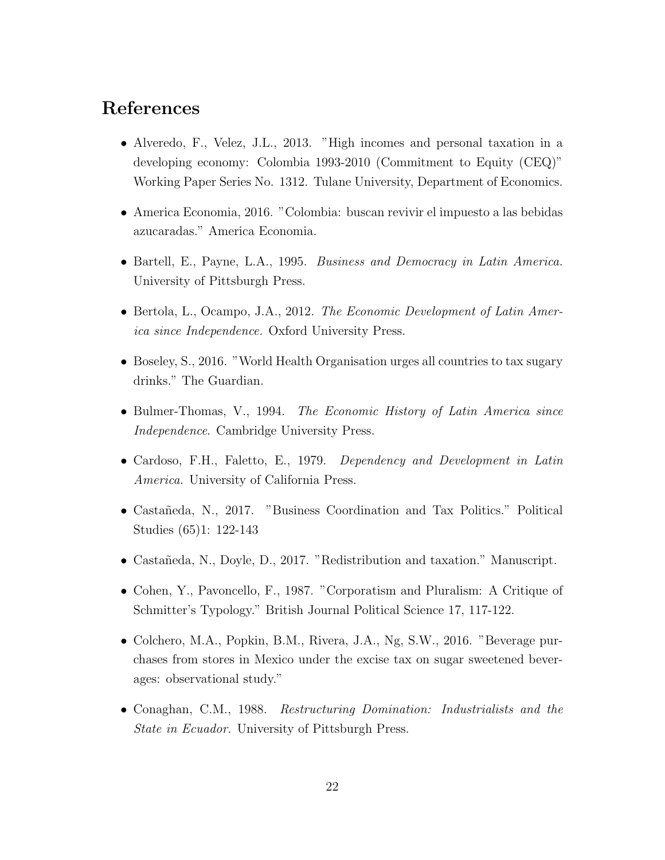### References

- Alveredo, F., Velez, J.L., 2013. "High incomes and personal taxation in a developing economy: Colombia 1993-2010 (Commitment to Equity (CEQ)" Working Paper Series No. 1312. Tulane University, Department of Economics.
- America Economia, 2016. "Colombia: buscan revivir el impuesto a las bebidas azucaradas." America Economia.
- Bartell, E., Payne, L.A., 1995. Business and Democracy in Latin America. University of Pittsburgh Press.
- Bertola, L., Ocampo, J.A., 2012. The Economic Development of Latin America since Independence. Oxford University Press.
- Boseley, S., 2016. "World Health Organisation urges all countries to tax sugary drinks." The Guardian.
- Bulmer-Thomas, V., 1994. The Economic History of Latin America since Independence. Cambridge University Press.
- Cardoso, F.H., Faletto, E., 1979. Dependency and Development in Latin America. University of California Press.
- Castañeda, N., 2017. "Business Coordination and Tax Politics." Political Studies (65)1: 122-143
- Castañeda, N., Doyle, D., 2017. "Redistribution and taxation." Manuscript.
- Cohen, Y., Pavoncello, F., 1987. "Corporatism and Pluralism: A Critique of Schmitter's Typology." British Journal Political Science 17, 117-122.
- Colchero, M.A., Popkin, B.M., Rivera, J.A., Ng, S.W., 2016. "Beverage purchases from stores in Mexico under the excise tax on sugar sweetened beverages: observational study."
- Conaghan, C.M., 1988. Restructuring Domination: Industrialists and the State in Ecuador. University of Pittsburgh Press.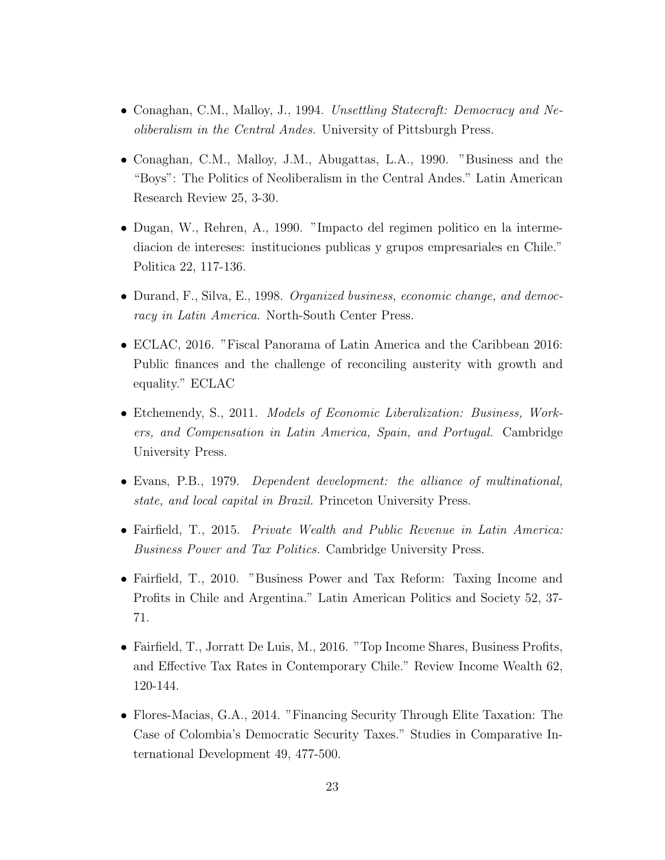- Conaghan, C.M., Malloy, J., 1994. Unsettling Statecraft: Democracy and Neoliberalism in the Central Andes. University of Pittsburgh Press.
- Conaghan, C.M., Malloy, J.M., Abugattas, L.A., 1990. "Business and the "Boys": The Politics of Neoliberalism in the Central Andes." Latin American Research Review 25, 3-30.
- Dugan, W., Rehren, A., 1990. "Impacto del regimen politico en la intermediacion de intereses: instituciones publicas y grupos empresariales en Chile." Politica 22, 117-136.
- Durand, F., Silva, E., 1998. Organized business, economic change, and democracy in Latin America. North-South Center Press.
- ECLAC, 2016. "Fiscal Panorama of Latin America and the Caribbean 2016: Public finances and the challenge of reconciling austerity with growth and equality." ECLAC
- Etchemendy, S., 2011. Models of Economic Liberalization: Business, Workers, and Compensation in Latin America, Spain, and Portugal. Cambridge University Press.
- Evans, P.B., 1979. Dependent development: the alliance of multinational, state, and local capital in Brazil. Princeton University Press.
- Fairfield, T., 2015. Private Wealth and Public Revenue in Latin America: Business Power and Tax Politics. Cambridge University Press.
- Fairfield, T., 2010. "Business Power and Tax Reform: Taxing Income and Profits in Chile and Argentina." Latin American Politics and Society 52, 37- 71.
- Fairfield, T., Jorratt De Luis, M., 2016. "Top Income Shares, Business Profits, and Effective Tax Rates in Contemporary Chile." Review Income Wealth 62, 120-144.
- Flores-Macias, G.A., 2014. "Financing Security Through Elite Taxation: The Case of Colombia's Democratic Security Taxes." Studies in Comparative International Development 49, 477-500.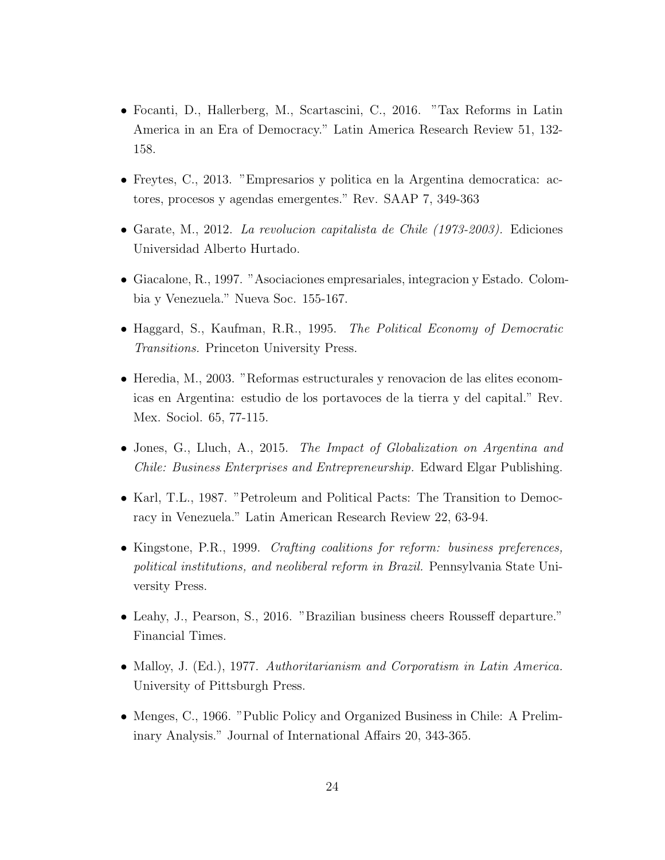- Focanti, D., Hallerberg, M., Scartascini, C., 2016. "Tax Reforms in Latin America in an Era of Democracy." Latin America Research Review 51, 132- 158.
- Freytes, C., 2013. "Empresarios y politica en la Argentina democratica: actores, procesos y agendas emergentes." Rev. SAAP 7, 349-363
- Garate, M., 2012. La revolucion capitalista de Chile (1973-2003). Ediciones Universidad Alberto Hurtado.
- Giacalone, R., 1997. "Asociaciones empresariales, integracion y Estado. Colombia y Venezuela." Nueva Soc. 155-167.
- Haggard, S., Kaufman, R.R., 1995. The Political Economy of Democratic Transitions. Princeton University Press.
- Heredia, M., 2003. "Reformas estructurales y renovacion de las elites economicas en Argentina: estudio de los portavoces de la tierra y del capital." Rev. Mex. Sociol. 65, 77-115.
- Jones, G., Lluch, A., 2015. The Impact of Globalization on Argentina and Chile: Business Enterprises and Entrepreneurship. Edward Elgar Publishing.
- Karl, T.L., 1987. "Petroleum and Political Pacts: The Transition to Democracy in Venezuela." Latin American Research Review 22, 63-94.
- Kingstone, P.R., 1999. *Crafting coalitions for reform: business preferences*, political institutions, and neoliberal reform in Brazil. Pennsylvania State University Press.
- Leahy, J., Pearson, S., 2016. "Brazilian business cheers Rousseff departure." Financial Times.
- Malloy, J. (Ed.), 1977. Authoritarianism and Corporatism in Latin America. University of Pittsburgh Press.
- Menges, C., 1966. "Public Policy and Organized Business in Chile: A Preliminary Analysis." Journal of International Affairs 20, 343-365.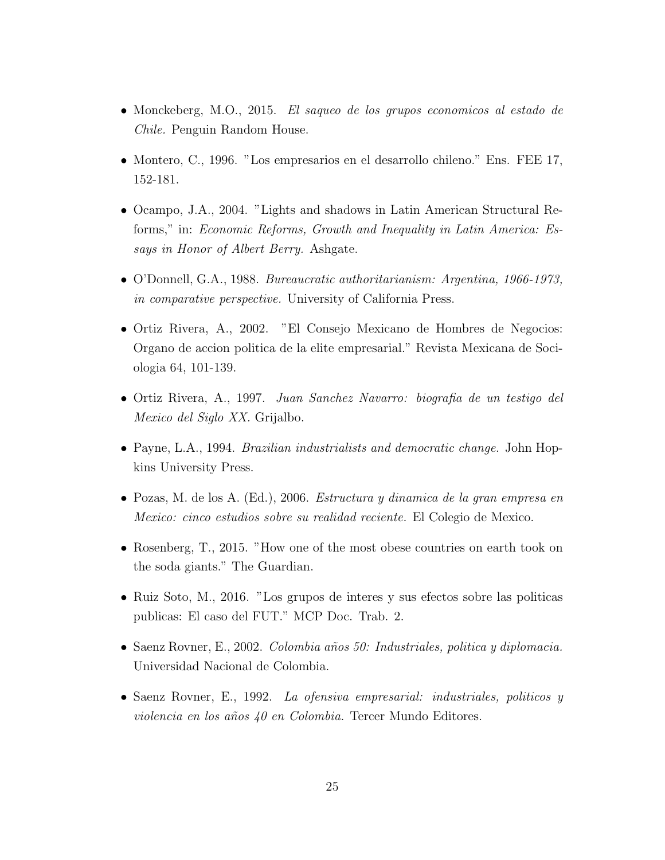- Monckeberg, M.O., 2015. El saqueo de los grupos economicos al estado de Chile. Penguin Random House.
- Montero, C., 1996. "Los empresarios en el desarrollo chileno." Ens. FEE 17, 152-181.
- Ocampo, J.A., 2004. "Lights and shadows in Latin American Structural Reforms," in: Economic Reforms, Growth and Inequality in Latin America: Essays in Honor of Albert Berry. Ashgate.
- O'Donnell, G.A., 1988. Bureaucratic authoritarianism: Argentina, 1966-1973, in comparative perspective. University of California Press.
- Ortiz Rivera, A., 2002. "El Consejo Mexicano de Hombres de Negocios: Organo de accion politica de la elite empresarial." Revista Mexicana de Sociologia 64, 101-139.
- Ortiz Rivera, A., 1997. Juan Sanchez Navarro: biografia de un testigo del Mexico del Siglo XX. Grijalbo.
- Payne, L.A., 1994. Brazilian industrialists and democratic change. John Hopkins University Press.
- Pozas, M. de los A. (Ed.), 2006. Estructura y dinamica de la gran empresa en Mexico: cinco estudios sobre su realidad reciente. El Colegio de Mexico.
- Rosenberg, T., 2015. "How one of the most obese countries on earth took on the soda giants." The Guardian.
- Ruiz Soto, M., 2016. "Los grupos de interes y sus efectos sobre las politicas publicas: El caso del FUT." MCP Doc. Trab. 2.
- Saenz Rovner, E., 2002. Colombia años 50: Industriales, politica y diplomacia. Universidad Nacional de Colombia.
- Saenz Rovner, E., 1992. La ofensiva empresarial: industriales, politicos y violencia en los años  $40$  en Colombia. Tercer Mundo Editores.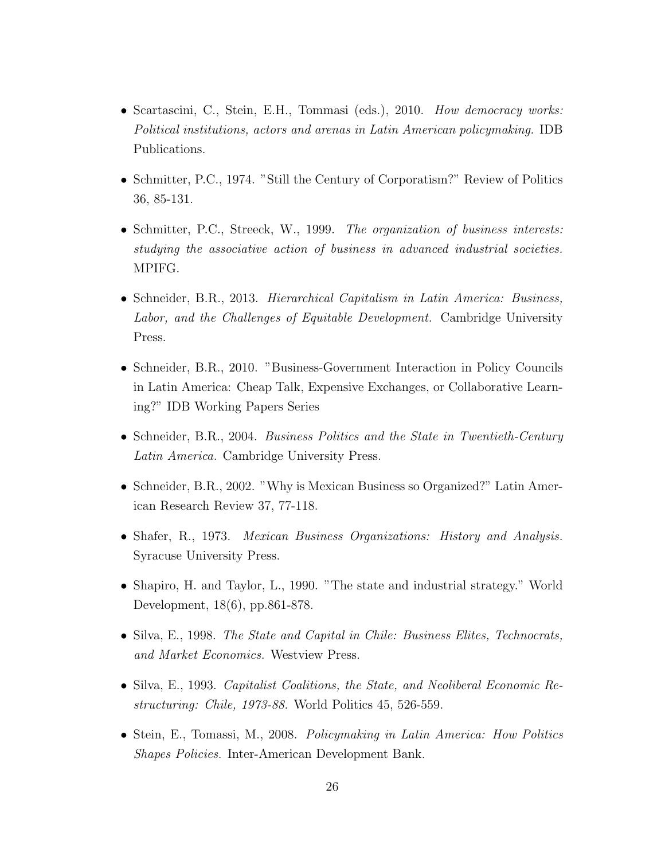- Scartascini, C., Stein, E.H., Tommasi (eds.), 2010. *How democracy works:* Political institutions, actors and arenas in Latin American policymaking. IDB Publications.
- Schmitter, P.C., 1974. "Still the Century of Corporatism?" Review of Politics 36, 85-131.
- Schmitter, P.C., Streeck, W., 1999. The organization of business interests: studying the associative action of business in advanced industrial societies. MPIFG.
- Schneider, B.R., 2013. Hierarchical Capitalism in Latin America: Business, Labor, and the Challenges of Equitable Development. Cambridge University Press.
- Schneider, B.R., 2010. "Business-Government Interaction in Policy Councils in Latin America: Cheap Talk, Expensive Exchanges, or Collaborative Learning?" IDB Working Papers Series
- Schneider, B.R., 2004. Business Politics and the State in Twentieth-Century Latin America. Cambridge University Press.
- Schneider, B.R., 2002. "Why is Mexican Business so Organized?" Latin American Research Review 37, 77-118.
- Shafer, R., 1973. *Mexican Business Organizations: History and Analysis.* Syracuse University Press.
- Shapiro, H. and Taylor, L., 1990. "The state and industrial strategy." World Development, 18(6), pp.861-878.
- Silva, E., 1998. The State and Capital in Chile: Business Elites, Technocrats, and Market Economics. Westview Press.
- Silva, E., 1993. *Capitalist Coalitions, the State, and Neoliberal Economic Re*structuring: Chile, 1973-88. World Politics 45, 526-559.
- Stein, E., Tomassi, M., 2008. Policymaking in Latin America: How Politics Shapes Policies. Inter-American Development Bank.